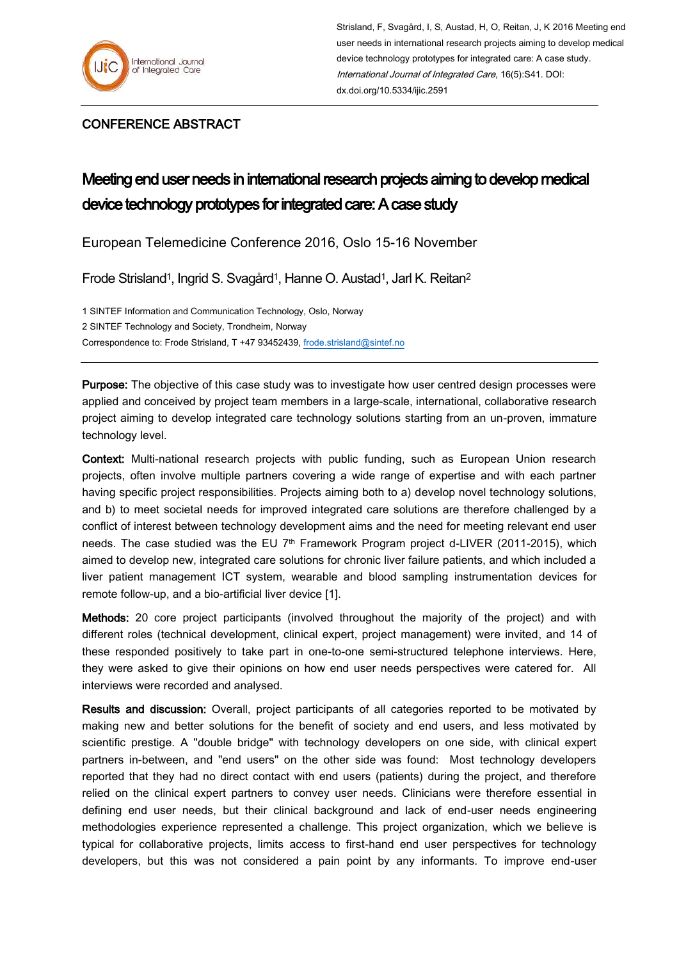

## CONFERENCE ABSTRACT

## Meeting end user needs in international research projects aiming to develop medical device technology prototypes for integrated care: A case study

European Telemedicine Conference 2016, Oslo 15-16 November

Frode Strisland<sup>1</sup>, Ingrid S. Svagård<sup>1</sup>, Hanne O. Austad<sup>1</sup>, Jarl K. Reitan<sup>2</sup>

1 SINTEF Information and Communication Technology, Oslo, Norway 2 SINTEF Technology and Society, Trondheim, Norway Correspondence to: Frode Strisland, T +47 93452439, [frode.strisland@sintef.no](mailto:frode.strisland@sintef.no)

Purpose: The objective of this case study was to investigate how user centred design processes were applied and conceived by project team members in a large-scale, international, collaborative research project aiming to develop integrated care technology solutions starting from an un-proven, immature technology level.

Context: Multi-national research projects with public funding, such as European Union research projects, often involve multiple partners covering a wide range of expertise and with each partner having specific project responsibilities. Projects aiming both to a) develop novel technology solutions, and b) to meet societal needs for improved integrated care solutions are therefore challenged by a conflict of interest between technology development aims and the need for meeting relevant end user needs. The case studied was the EU  $7<sup>th</sup>$  Framework Program project d-LIVER (2011-2015), which aimed to develop new, integrated care solutions for chronic liver failure patients, and which included a liver patient management ICT system, wearable and blood sampling instrumentation devices for remote follow-up, and a bio-artificial liver device [1].

Methods: 20 core project participants (involved throughout the majority of the project) and with different roles (technical development, clinical expert, project management) were invited, and 14 of these responded positively to take part in one-to-one semi-structured telephone interviews. Here, they were asked to give their opinions on how end user needs perspectives were catered for. All interviews were recorded and analysed.

Results and discussion: Overall, project participants of all categories reported to be motivated by making new and better solutions for the benefit of society and end users, and less motivated by scientific prestige. A "double bridge" with technology developers on one side, with clinical expert partners in-between, and "end users" on the other side was found: Most technology developers reported that they had no direct contact with end users (patients) during the project, and therefore relied on the clinical expert partners to convey user needs. Clinicians were therefore essential in defining end user needs, but their clinical background and lack of end-user needs engineering methodologies experience represented a challenge. This project organization, which we believe is typical for collaborative projects, limits access to first-hand end user perspectives for technology developers, but this was not considered a pain point by any informants. To improve end-user